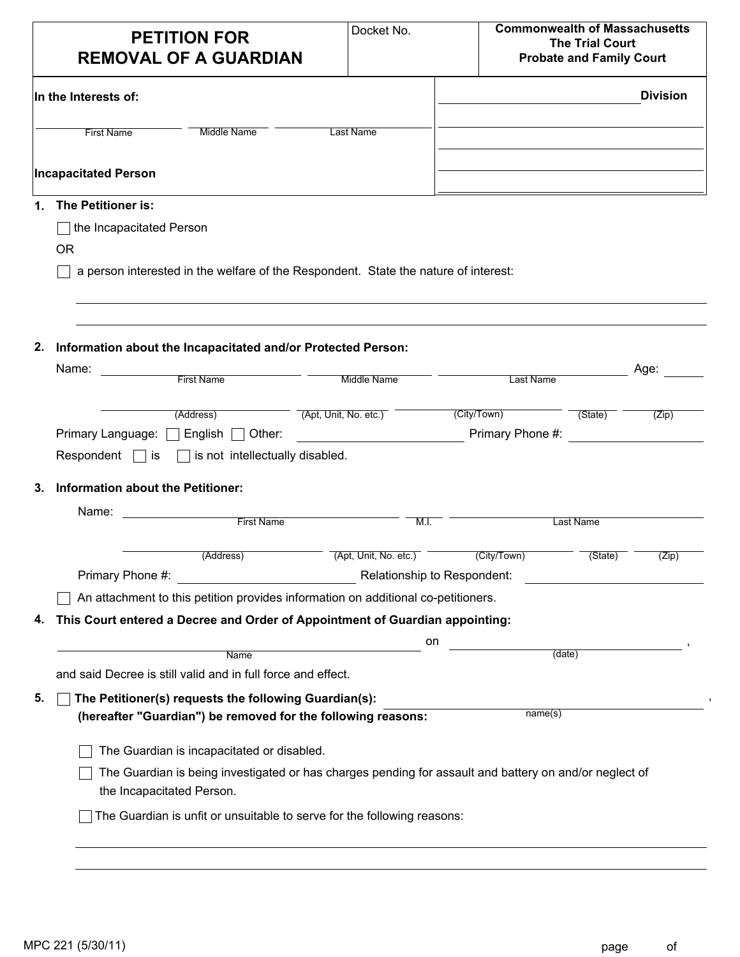| <b>PETITION FOR</b><br><b>REMOVAL OF A GUARDIAN</b>                                                                                 | Docket No.                              | <b>Commonwealth of Massachusetts</b> | <b>The Trial Court</b><br><b>Probate and Family Court</b> |                 |
|-------------------------------------------------------------------------------------------------------------------------------------|-----------------------------------------|--------------------------------------|-----------------------------------------------------------|-----------------|
| In the Interests of:                                                                                                                |                                         |                                      |                                                           | <b>Division</b> |
| <b>First Name</b><br><b>Middle Name</b>                                                                                             | Last Name                               |                                      |                                                           |                 |
| <b>Incapacitated Person</b>                                                                                                         |                                         |                                      |                                                           |                 |
| The Petitioner is:<br>1.                                                                                                            |                                         |                                      |                                                           |                 |
| $\Box$ the Incapacitated Person                                                                                                     |                                         |                                      |                                                           |                 |
| <b>OR</b>                                                                                                                           |                                         |                                      |                                                           |                 |
| a person interested in the welfare of the Respondent. State the nature of interest:                                                 |                                         |                                      |                                                           |                 |
|                                                                                                                                     |                                         |                                      |                                                           |                 |
| 2.<br>Information about the Incapacitated and/or Protected Person:                                                                  |                                         |                                      |                                                           |                 |
| Name:                                                                                                                               |                                         |                                      |                                                           | Age:            |
| First Name                                                                                                                          | Middle Name                             | Last Name                            |                                                           |                 |
|                                                                                                                                     |                                         |                                      |                                                           |                 |
|                                                                                                                                     |                                         |                                      |                                                           | (Zip)           |
| (Address)<br>Primary Language: $\Box$ English $\Box$ Other:                                                                         | (Apt, Unit, No. etc.)                   | (City/Town)<br>Primary Phone #:      | (State)                                                   |                 |
| Respondent $\Box$ is $\Box$ is not intellectually disabled.                                                                         | <u> 1989 - Johann Barbara, martin a</u> |                                      |                                                           |                 |
|                                                                                                                                     |                                         |                                      |                                                           |                 |
| Information about the Petitioner:<br>3.                                                                                             |                                         |                                      |                                                           |                 |
| Name:<br>First Name                                                                                                                 | M.I.                                    |                                      | Last Name                                                 |                 |
|                                                                                                                                     |                                         |                                      |                                                           |                 |
| (Address)                                                                                                                           | (Apt, Unit, No. etc.)                   | (City/Town)                          | (State)                                                   | (Zip)           |
| Relationship to Respondent:<br>Primary Phone #:                                                                                     |                                         |                                      |                                                           |                 |
| An attachment to this petition provides information on additional co-petitioners.                                                   |                                         |                                      |                                                           |                 |
| This Court entered a Decree and Order of Appointment of Guardian appointing:                                                        |                                         |                                      |                                                           |                 |
| Name                                                                                                                                | on                                      | (date)                               |                                                           |                 |
| 4.<br>and said Decree is still valid and in full force and effect.                                                                  |                                         |                                      |                                                           |                 |
|                                                                                                                                     |                                         |                                      |                                                           |                 |
| The Petitioner(s) requests the following Guardian(s):<br>(hereafter "Guardian") be removed for the following reasons:               |                                         | name(s)                              |                                                           |                 |
| The Guardian is incapacitated or disabled.                                                                                          |                                         |                                      |                                                           |                 |
| The Guardian is being investigated or has charges pending for assault and battery on and/or neglect of<br>the Incapacitated Person. |                                         |                                      |                                                           |                 |
| The Guardian is unfit or unsuitable to serve for the following reasons:                                                             |                                         |                                      |                                                           |                 |